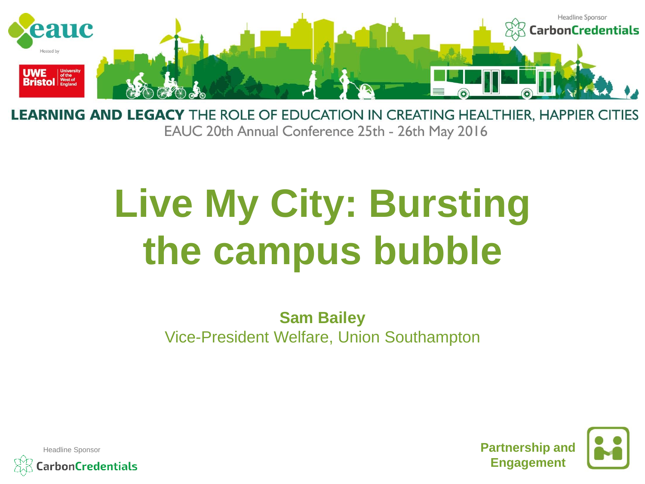

**LEARNING AND LEGACY** THE ROLE OF EDUCATION IN CREATING HEALTHIER, HAPPIER CITIES EAUC 20th Annual Conference 25th - 26th May 2016

## **Live My City: Bursting the campus bubble**

**Sam Bailey** Vice-President Welfare, Union Southampton



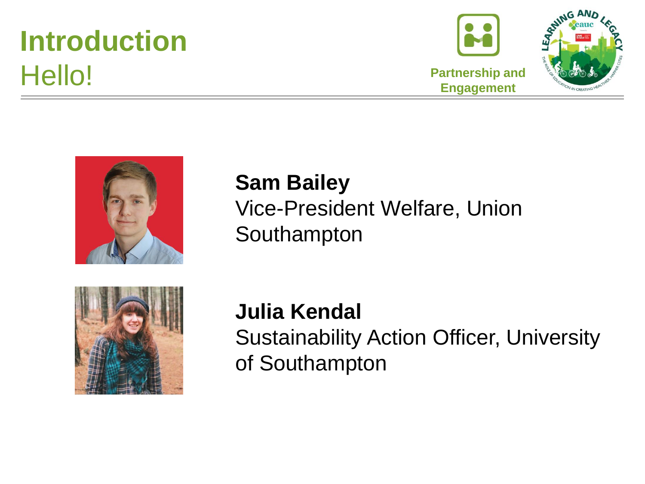## **Introduction** Hello!





## **Sam Bailey**  Vice-President Welfare, Union Southampton



**Julia Kendal** Sustainability Action Officer, University of Southampton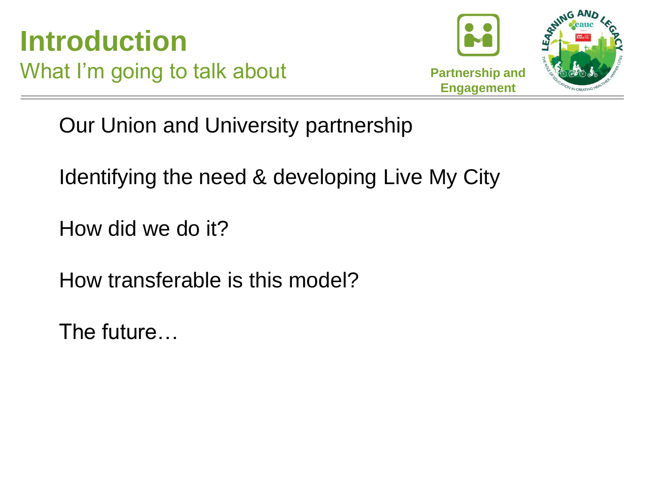



Our Union and University partnership

Identifying the need & developing Live My City

How did we do it?

How transferable is this model?

The future…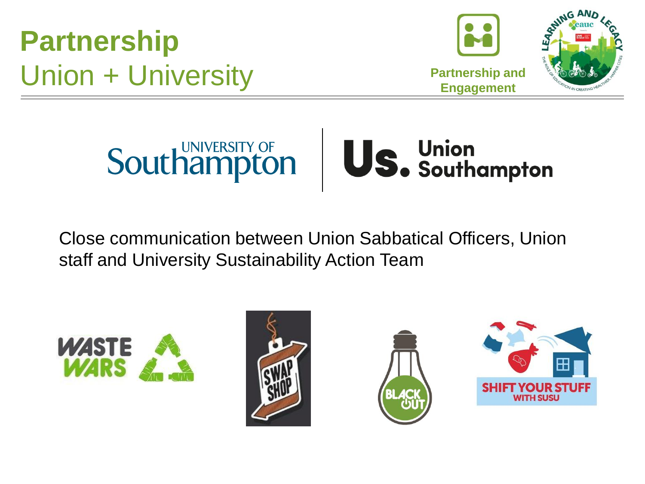**Partnership** Union + University





Close communication between Union Sabbatical Officers, Union staff and University Sustainability Action Team







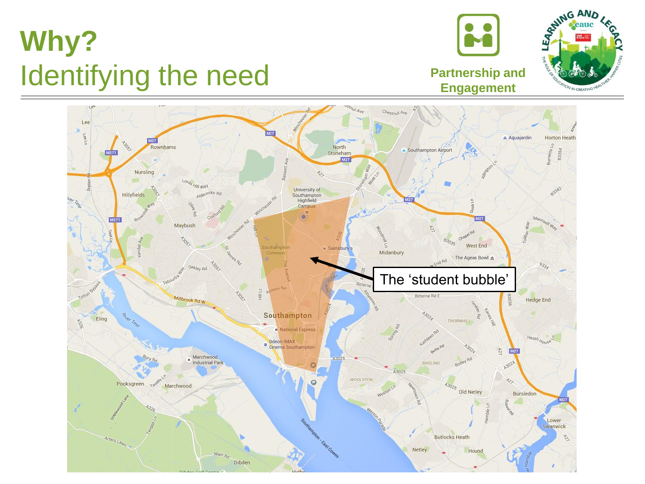## **Why?** Identifying the need



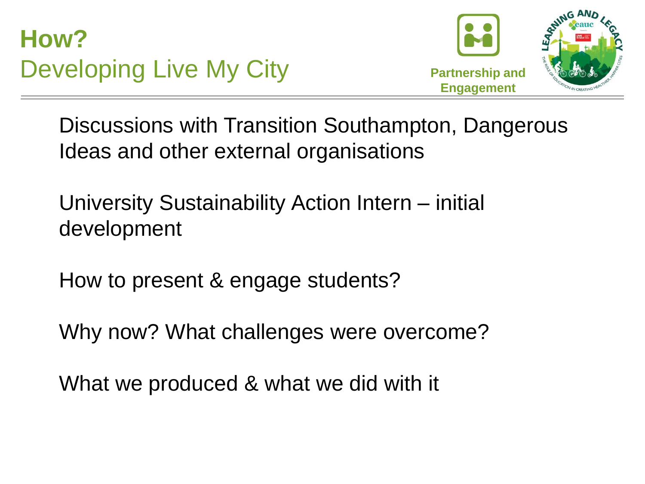**How?** Developing Live My City



Discussions with Transition Southampton, Dangerous Ideas and other external organisations

University Sustainability Action Intern – initial development

How to present & engage students?

Why now? What challenges were overcome?

What we produced & what we did with it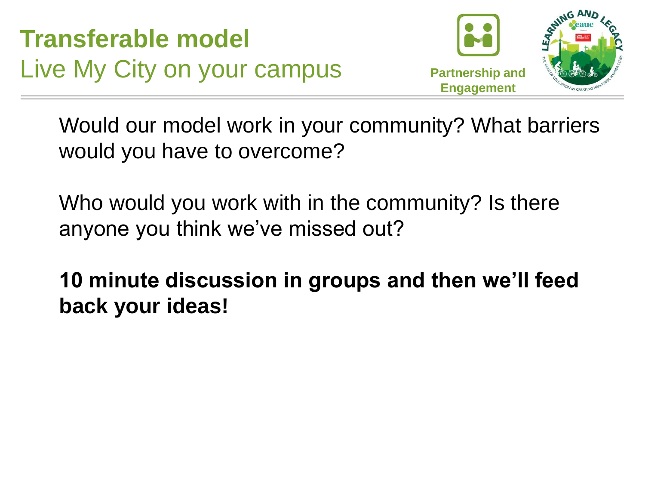**Transferable model** Live My City on your campus



Would our model work in your community? What barriers would you have to overcome?

Who would you work with in the community? Is there anyone you think we've missed out?

**10 minute discussion in groups and then we'll feed back your ideas!**